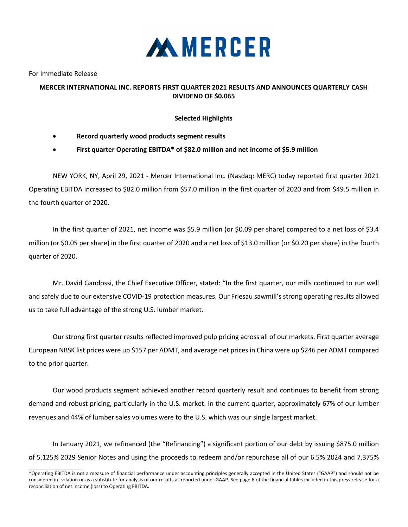

For Immediate Release

 $\_$ 

## **MERCER INTERNATIONAL INC. REPORTS FIRST QUARTER 2021 RESULTS AND ANNOUNCES QUARTERLY CASH DIVIDEND OF \$0.065**

## **Selected Highlights**

- **Record quarterly wood products segment results**
- **First quarter Operating EBITDA\* of \$82.0 million and net income of \$5.9 million**

NEW YORK, NY, April 29, 2021 - Mercer International Inc. (Nasdaq: MERC) today reported first quarter 2021 Operating EBITDA increased to \$82.0 million from \$57.0 million in the first quarter of 2020 and from \$49.5 million in the fourth quarter of 2020.

In the first quarter of 2021, net income was \$5.9 million (or \$0.09 per share) compared to a net loss of \$3.4 million (or \$0.05 per share) in the first quarter of 2020 and a net loss of \$13.0 million (or \$0.20 per share) in the fourth quarter of 2020.

Mr. David Gandossi, the Chief Executive Officer, stated: "In the first quarter, our mills continued to run well and safely due to our extensive COVID-19 protection measures. Our Friesau sawmill's strong operating results allowed us to take full advantage of the strong U.S. lumber market.

Our strong first quarter results reflected improved pulp pricing across all of our markets. First quarter average European NBSK list prices were up \$157 per ADMT, and average net prices in China were up \$246 per ADMT compared to the prior quarter.

Our wood products segment achieved another record quarterly result and continues to benefit from strong demand and robust pricing, particularly in the U.S. market. In the current quarter, approximately 67% of our lumber revenues and 44% of lumber sales volumes were to the U.S. which was our single largest market.

In January 2021, we refinanced (the "Refinancing") a significant portion of our debt by issuing \$875.0 million of 5.125% 2029 Senior Notes and using the proceeds to redeem and/or repurchase all of our 6.5% 2024 and 7.375%

<sup>\*</sup>Operating EBITDA is not a measure of financial performance under accounting principles generally accepted in the United States ("GAAP") and should not be considered in isolation or as a substitute for analysis of our results as reported under GAAP. See page 6 of the financial tables included in this press release for a reconciliation of net income (loss) to Operating EBITDA.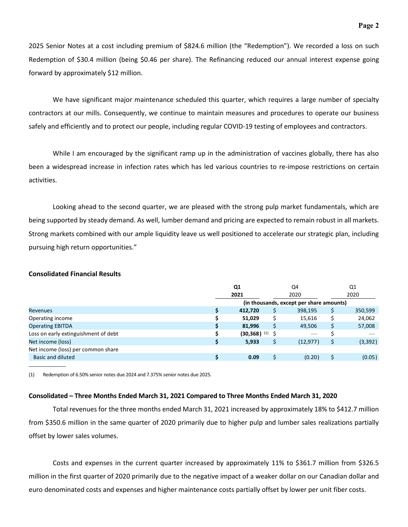2025 Senior Notes at a cost including premium of \$824.6 million (the "Redemption"). We recorded a loss on such Redemption of \$30.4 million (being \$0.46 per share). The Refinancing reduced our annual interest expense going forward by approximately \$12 million.

We have significant major maintenance scheduled this quarter, which requires a large number of specialty contractors at our mills. Consequently, we continue to maintain measures and procedures to operate our business safely and efficiently and to protect our people, including regular COVID-19 testing of employees and contractors.

While I am encouraged by the significant ramp up in the administration of vaccines globally, there has also been a widespread increase in infection rates which has led various countries to re-impose restrictions on certain activities.

Looking ahead to the second quarter, we are pleased with the strong pulp market fundamentals, which are being supported by steady demand. As well, lumber demand and pricing are expected to remain robust in all markets. Strong markets combined with our ample liquidity leave us well positioned to accelerate our strategic plan, including pursuing high return opportunities."

### **Consolidated Financial Results**

\_\_\_\_\_\_\_\_\_\_\_\_\_\_

| Q1<br>2021 |                           | Q4        | Q1 |                                          |
|------------|---------------------------|-----------|----|------------------------------------------|
|            |                           | 2020      |    | 2020                                     |
|            |                           |           |    |                                          |
|            | 412,720                   | 398,195   |    | 350,599                                  |
|            | 51,029                    | 15,616    |    | 24,062                                   |
| S          | 81,996                    | 49,506    |    | 57,008                                   |
|            | $(30,368)$ <sup>(1)</sup> |           |    |                                          |
|            | 5,933                     | (12, 977) |    | (3, 392)                                 |
|            |                           |           |    |                                          |
|            | 0.09                      | (0.20)    |    | (0.05)                                   |
|            |                           |           |    | (in thousands, except per share amounts) |

(1) Redemption of 6.50% senior notes due 2024 and 7.375% senior notes due 2025.

### **Consolidated – Three Months Ended March 31, 2021 Compared to Three Months Ended March 31, 2020**

Total revenues for the three months ended March 31, 2021 increased by approximately 18% to \$412.7 million from \$350.6 million in the same quarter of 2020 primarily due to higher pulp and lumber sales realizations partially offset by lower sales volumes.

Costs and expenses in the current quarter increased by approximately 11% to \$361.7 million from \$326.5 million in the first quarter of 2020 primarily due to the negative impact of a weaker dollar on our Canadian dollar and euro denominated costs and expenses and higher maintenance costs partially offset by lower per unit fiber costs.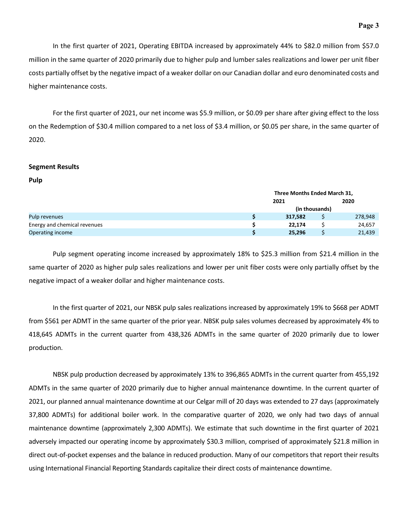In the first quarter of 2021, Operating EBITDA increased by approximately 44% to \$82.0 million from \$57.0 million in the same quarter of 2020 primarily due to higher pulp and lumber sales realizations and lower per unit fiber costs partially offset by the negative impact of a weaker dollar on our Canadian dollar and euro denominated costs and higher maintenance costs.

For the first quarter of 2021, our net income was \$5.9 million, or \$0.09 per share after giving effect to the loss on the Redemption of \$30.4 million compared to a net loss of \$3.4 million, or \$0.05 per share, in the same quarter of 2020.

#### **Segment Results**

**Pulp**

|                              | Three Months Ended March 31, |                |         |  |  |
|------------------------------|------------------------------|----------------|---------|--|--|
|                              | 2021                         |                | 2020    |  |  |
|                              |                              | (in thousands) |         |  |  |
| Pulp revenues                | 317,582                      |                | 278,948 |  |  |
| Energy and chemical revenues | 22,174                       |                | 24,657  |  |  |
| Operating income             | 25,296                       |                | 21,439  |  |  |

Pulp segment operating income increased by approximately 18% to \$25.3 million from \$21.4 million in the same quarter of 2020 as higher pulp sales realizations and lower per unit fiber costs were only partially offset by the negative impact of a weaker dollar and higher maintenance costs.

In the first quarter of 2021, our NBSK pulp sales realizations increased by approximately 19% to \$668 per ADMT from \$561 per ADMT in the same quarter of the prior year. NBSK pulp sales volumes decreased by approximately 4% to 418,645 ADMTs in the current quarter from 438,326 ADMTs in the same quarter of 2020 primarily due to lower production.

NBSK pulp production decreased by approximately 13% to 396,865 ADMTs in the current quarter from 455,192 ADMTs in the same quarter of 2020 primarily due to higher annual maintenance downtime. In the current quarter of 2021, our planned annual maintenance downtime at our Celgar mill of 20 days was extended to 27 days (approximately 37,800 ADMTs) for additional boiler work. In the comparative quarter of 2020, we only had two days of annual maintenance downtime (approximately 2,300 ADMTs). We estimate that such downtime in the first quarter of 2021 adversely impacted our operating income by approximately \$30.3 million, comprised of approximately \$21.8 million in direct out-of-pocket expenses and the balance in reduced production. Many of our competitors that report their results using International Financial Reporting Standards capitalize their direct costs of maintenance downtime.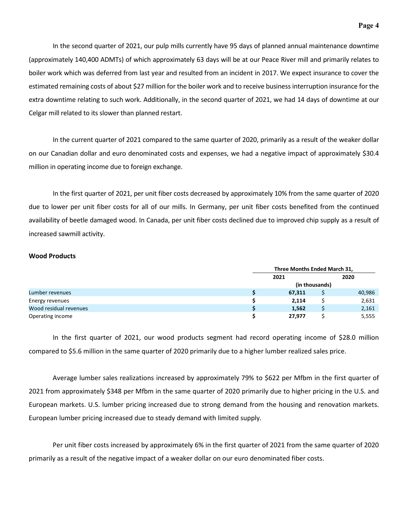In the second quarter of 2021, our pulp mills currently have 95 days of planned annual maintenance downtime (approximately 140,400 ADMTs) of which approximately 63 days will be at our Peace River mill and primarily relates to boiler work which was deferred from last year and resulted from an incident in 2017. We expect insurance to cover the estimated remaining costs of about \$27 million for the boiler work and to receive business interruption insurance for the extra downtime relating to such work. Additionally, in the second quarter of 2021, we had 14 days of downtime at our Celgar mill related to its slower than planned restart.

In the current quarter of 2021 compared to the same quarter of 2020, primarily as a result of the weaker dollar on our Canadian dollar and euro denominated costs and expenses, we had a negative impact of approximately \$30.4 million in operating income due to foreign exchange.

In the first quarter of 2021, per unit fiber costs decreased by approximately 10% from the same quarter of 2020 due to lower per unit fiber costs for all of our mills. In Germany, per unit fiber costs benefited from the continued availability of beetle damaged wood. In Canada, per unit fiber costs declined due to improved chip supply as a result of increased sawmill activity.

#### **Wood Products**

|                        | Three Months Ended March 31, |  |        |  |  |
|------------------------|------------------------------|--|--------|--|--|
|                        | 2021                         |  | 2020   |  |  |
|                        | (in thousands)               |  |        |  |  |
| Lumber revenues        | 67,311                       |  | 40,986 |  |  |
| Energy revenues        | 2.114                        |  | 2,631  |  |  |
| Wood residual revenues | 1,562                        |  | 2,161  |  |  |
| Operating income       | 27,977                       |  | 5,555  |  |  |

In the first quarter of 2021, our wood products segment had record operating income of \$28.0 million compared to \$5.6 million in the same quarter of 2020 primarily due to a higher lumber realized sales price.

Average lumber sales realizations increased by approximately 79% to \$622 per Mfbm in the first quarter of 2021 from approximately \$348 per Mfbm in the same quarter of 2020 primarily due to higher pricing in the U.S. and European markets. U.S. lumber pricing increased due to strong demand from the housing and renovation markets. European lumber pricing increased due to steady demand with limited supply.

Per unit fiber costs increased by approximately 6% in the first quarter of 2021 from the same quarter of 2020 primarily as a result of the negative impact of a weaker dollar on our euro denominated fiber costs.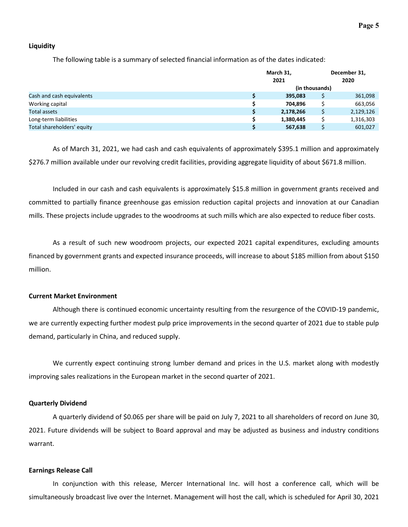### **Liquidity**

The following table is a summary of selected financial information as of the dates indicated:

|                            |  | March 31,<br>2021 |                | December 31,<br>2020 |  |
|----------------------------|--|-------------------|----------------|----------------------|--|
| Cash and cash equivalents  |  |                   | (in thousands) |                      |  |
|                            |  | 395,083           |                | 361,098              |  |
| Working capital            |  | 704.896           |                | 663,056              |  |
| <b>Total assets</b>        |  | 2,178,266         |                | 2,129,126            |  |
| Long-term liabilities      |  | 1,380,445         |                | 1,316,303            |  |
| Total shareholders' equity |  | 567,638           |                | 601,027              |  |

As of March 31, 2021, we had cash and cash equivalents of approximately \$395.1 million and approximately \$276.7 million available under our revolving credit facilities, providing aggregate liquidity of about \$671.8 million.

Included in our cash and cash equivalents is approximately \$15.8 million in government grants received and committed to partially finance greenhouse gas emission reduction capital projects and innovation at our Canadian mills. These projects include upgrades to the woodrooms at such mills which are also expected to reduce fiber costs.

As a result of such new woodroom projects, our expected 2021 capital expenditures, excluding amounts financed by government grants and expected insurance proceeds, will increase to about \$185 million from about \$150 million.

#### **Current Market Environment**

Although there is continued economic uncertainty resulting from the resurgence of the COVID-19 pandemic, we are currently expecting further modest pulp price improvements in the second quarter of 2021 due to stable pulp demand, particularly in China, and reduced supply.

We currently expect continuing strong lumber demand and prices in the U.S. market along with modestly improving sales realizations in the European market in the second quarter of 2021.

#### **Quarterly Dividend**

A quarterly dividend of \$0.065 per share will be paid on July 7, 2021 to all shareholders of record on June 30, 2021. Future dividends will be subject to Board approval and may be adjusted as business and industry conditions warrant.

#### **Earnings Release Call**

In conjunction with this release, Mercer International Inc. will host a conference call, which will be simultaneously broadcast live over the Internet. Management will host the call, which is scheduled for April 30, 2021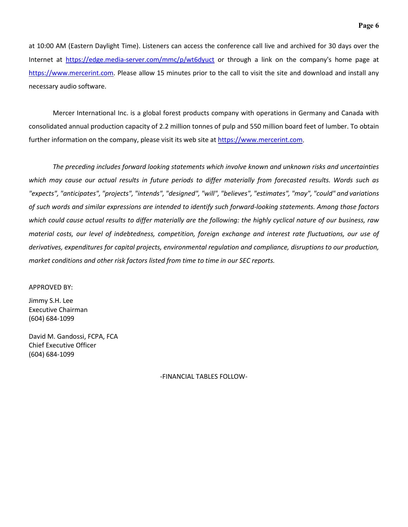at 10:00 AM (Eastern Daylight Time). Listeners can access the conference call live and archived for 30 days over the Internet at <https://edge.media-server.com/mmc/p/wt6dyuct> or through a link on the company's home page at [https://www.mercerint.com.](https://www.mercerint.com/) Please allow 15 minutes prior to the call to visit the site and download and install any necessary audio software.

Mercer International Inc. is a global forest products company with operations in Germany and Canada with consolidated annual production capacity of 2.2 million tonnes of pulp and 550 million board feet of lumber. To obtain further information on the company, please visit its web site at [https://www.mercerint.com.](https://www.mercerint.com/)

*The preceding includes forward looking statements which involve known and unknown risks and uncertainties*  which may cause our actual results in future periods to differ materially from forecasted results. Words such as *"expects", "anticipates", "projects", "intends", "designed", "will", "believes", "estimates", "may", "could" and variations of such words and similar expressions are intended to identify such forward-looking statements. Among those factors which could cause actual results to differ materially are the following: the highly cyclical nature of our business, raw material costs, our level of indebtedness, competition, foreign exchange and interest rate fluctuations, our use of derivatives, expenditures for capital projects, environmental regulation and compliance, disruptions to our production, market conditions and other risk factors listed from time to time in our SEC reports.* 

#### APPROVED BY:

Jimmy S.H. Lee Executive Chairman (604) 684-1099

David M. Gandossi, FCPA, FCA Chief Executive Officer (604) 684-1099

-FINANCIAL TABLES FOLLOW-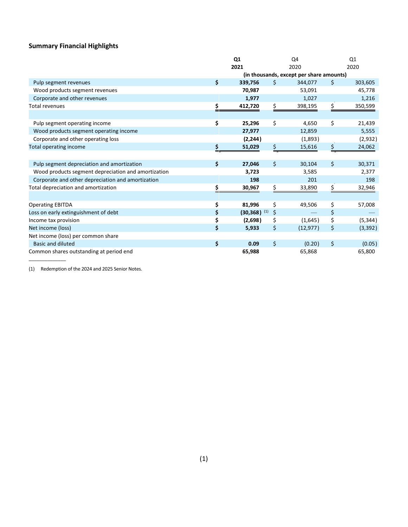# **Summary Financial Highlights**

|                                                     |    | Q1<br>Q4<br>2021<br>2020  |    |                                          |      | Q <sub>1</sub> |  |
|-----------------------------------------------------|----|---------------------------|----|------------------------------------------|------|----------------|--|
|                                                     |    |                           |    |                                          | 2020 |                |  |
|                                                     |    |                           |    | (in thousands, except per share amounts) |      |                |  |
| Pulp segment revenues                               | \$ | 339,756                   | Ŝ. | 344,077                                  | \$   | 303,605        |  |
| Wood products segment revenues                      |    | 70,987                    |    | 53,091                                   |      | 45,778         |  |
| Corporate and other revenues                        |    | 1,977                     |    | 1,027                                    |      | 1,216          |  |
| <b>Total revenues</b>                               | \$ | 412,720                   | \$ | 398,195                                  | \$   | 350,599        |  |
|                                                     |    |                           |    |                                          |      |                |  |
| Pulp segment operating income                       | \$ | 25,296                    | \$ | 4,650                                    | \$   | 21,439         |  |
| Wood products segment operating income              |    | 27,977                    |    | 12,859                                   |      | 5,555          |  |
| Corporate and other operating loss                  |    | (2, 244)                  |    | (1,893)                                  |      | (2,932)        |  |
| Total operating income                              |    | 51,029                    | \$ | 15,616                                   | \$   | 24,062         |  |
|                                                     |    |                           |    |                                          |      |                |  |
| Pulp segment depreciation and amortization          | \$ | 27,046                    | \$ | 30,104                                   | \$   | 30,371         |  |
| Wood products segment depreciation and amortization |    | 3,723                     |    | 3,585                                    |      | 2,377          |  |
| Corporate and other depreciation and amortization   |    | 198                       |    | 201                                      |      | 198            |  |
| Total depreciation and amortization                 |    | 30,967                    | Ś. | 33,890                                   | \$   | 32,946         |  |
|                                                     |    |                           |    |                                          |      |                |  |
| <b>Operating EBITDA</b>                             | \$ | 81,996                    | \$ | 49,506                                   | \$   | 57,008         |  |
| Loss on early extinguishment of debt                | \$ | $(30,368)$ <sup>(1)</sup> | \$ |                                          | \$   |                |  |
| Income tax provision                                | \$ | (2,698)                   | \$ | (1,645)                                  | \$   | (5, 344)       |  |
| Net income (loss)                                   | \$ | 5,933                     | \$ | (12, 977)                                | \$   | (3, 392)       |  |
| Net income (loss) per common share                  |    |                           |    |                                          |      |                |  |
| <b>Basic and diluted</b>                            | \$ | 0.09                      | \$ | (0.20)                                   | \$   | (0.05)         |  |
| Common shares outstanding at period end             |    | 65,988                    |    | 65,868                                   |      | 65,800         |  |

(1) Redemption of the 2024 and 2025 Senior Notes.

 $\mathcal{L}=\mathcal{L}$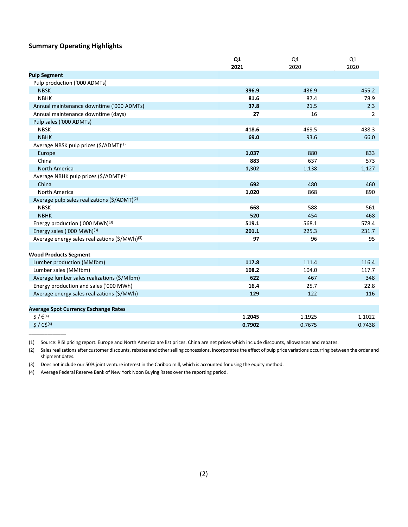### **Summary Operating Highlights**

|                                                                | Q1     | Q4     | Q1     |
|----------------------------------------------------------------|--------|--------|--------|
|                                                                | 2021   | 2020   | 2020   |
| <b>Pulp Segment</b>                                            |        |        |        |
| Pulp production ('000 ADMTs)                                   |        |        |        |
| <b>NBSK</b>                                                    | 396.9  | 436.9  | 455.2  |
| <b>NBHK</b>                                                    | 81.6   | 87.4   | 78.9   |
| Annual maintenance downtime ('000 ADMTs)                       | 37.8   | 21.5   | 2.3    |
| Annual maintenance downtime (days)                             | 27     | 16     | 2      |
| Pulp sales ('000 ADMTs)                                        |        |        |        |
| <b>NBSK</b>                                                    | 418.6  | 469.5  | 438.3  |
| <b>NBHK</b>                                                    | 69.0   | 93.6   | 66.0   |
| Average NBSK pulp prices (\$/ADMT) <sup>(1)</sup>              |        |        |        |
| Europe                                                         | 1,037  | 880    | 833    |
| China                                                          | 883    | 637    | 573    |
| <b>North America</b>                                           | 1,302  | 1,138  | 1,127  |
| Average NBHK pulp prices (\$/ADMT) <sup>(1)</sup>              |        |        |        |
| China                                                          | 692    | 480    | 460    |
| North America                                                  | 1,020  | 868    | 890    |
| Average pulp sales realizations $(\frac{2}{2}$ /ADMT $)^{(2)}$ |        |        |        |
| <b>NBSK</b>                                                    | 668    | 588    | 561    |
| <b>NBHK</b>                                                    | 520    | 454    | 468    |
| Energy production ('000 MWh) <sup>(3)</sup>                    | 519.1  | 568.1  | 578.4  |
| Energy sales ('000 MWh) <sup>(3)</sup>                         | 201.1  | 225.3  | 231.7  |
| Average energy sales realizations (\$/MWh) <sup>(3)</sup>      | 97     | 96     | 95     |
|                                                                |        |        |        |
| <b>Wood Products Segment</b>                                   |        |        |        |
| Lumber production (MMfbm)                                      | 117.8  | 111.4  | 116.4  |
| Lumber sales (MMfbm)                                           | 108.2  | 104.0  | 117.7  |
| Average lumber sales realizations (\$/Mfbm)                    | 622    | 467    | 348    |
| Energy production and sales ('000 MWh)                         | 16.4   | 25.7   | 22.8   |
| Average energy sales realizations (\$/MWh)                     | 129    | 122    | 116    |
|                                                                |        |        |        |
| <b>Average Spot Currency Exchange Rates</b>                    |        |        |        |
| $5/6^{(4)}$                                                    | 1.2045 | 1.1925 | 1.1022 |
| $$ / C$^{(4)}$                                                 | 0.7902 | 0.7675 | 0.7438 |
|                                                                |        |        |        |

(1) Source: RISI pricing report. Europe and North America are list prices. China are net prices which include discounts, allowances and rebates.

(2) Sales realizations after customer discounts, rebates and other selling concessions. Incorporates the effect of pulp price variations occurring between the order and shipment dates.

(3) Does not include our 50% joint venture interest in the Cariboo mill, which is accounted for using the equity method.

(4) Average Federal Reserve Bank of New York Noon Buying Rates over the reporting period.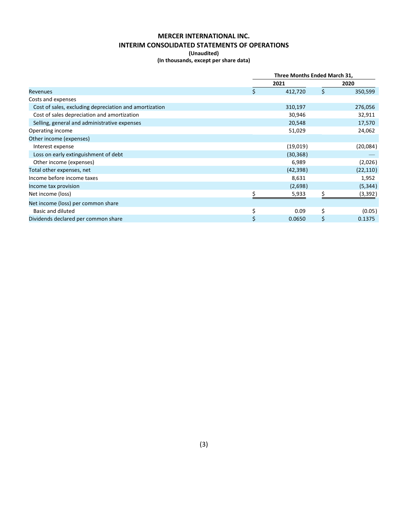## **MERCER INTERNATIONAL INC. INTERIM CONSOLIDATED STATEMENTS OF OPERATIONS (Unaudited)**

### **(In thousands, except per share data)**

|                                                        | Three Months Ended March 31, |           |      |           |  |
|--------------------------------------------------------|------------------------------|-----------|------|-----------|--|
|                                                        |                              | 2021      | 2020 |           |  |
| <b>Revenues</b>                                        | \$                           | 412,720   | \$   | 350,599   |  |
| Costs and expenses                                     |                              |           |      |           |  |
| Cost of sales, excluding depreciation and amortization |                              | 310,197   |      | 276,056   |  |
| Cost of sales depreciation and amortization            |                              | 30,946    |      | 32,911    |  |
| Selling, general and administrative expenses           |                              | 20,548    |      | 17,570    |  |
| Operating income                                       |                              | 51,029    |      | 24,062    |  |
| Other income (expenses)                                |                              |           |      |           |  |
| Interest expense                                       |                              | (19,019)  |      | (20,084)  |  |
| Loss on early extinguishment of debt                   |                              | (30, 368) |      |           |  |
| Other income (expenses)                                |                              | 6,989     |      | (2,026)   |  |
| Total other expenses, net                              |                              | (42, 398) |      | (22, 110) |  |
| Income before income taxes                             |                              | 8,631     |      | 1,952     |  |
| Income tax provision                                   |                              | (2,698)   |      | (5, 344)  |  |
| Net income (loss)                                      |                              | 5,933     | ς.   | (3, 392)  |  |
| Net income (loss) per common share                     |                              |           |      |           |  |
| <b>Basic and diluted</b>                               | \$                           | 0.09      | \$   | (0.05)    |  |
| Dividends declared per common share                    | \$                           | 0.0650    | \$   | 0.1375    |  |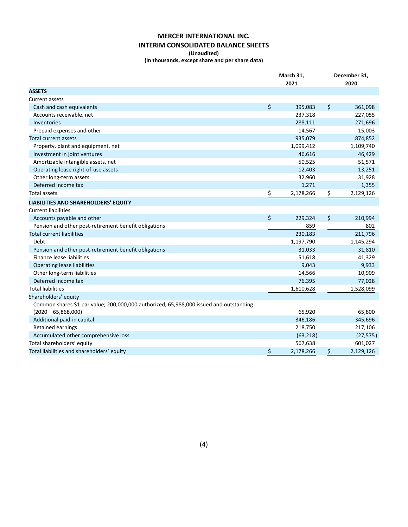# **MERCER INTERNATIONAL INC. INTERIM CONSOLIDATED BALANCE SHEETS**

#### **(Unaudited)**

**(In thousands, except share and per share data)**

|                                                                                                                 | March 31,<br>2021 |           |    | December 31,<br>2020 |  |
|-----------------------------------------------------------------------------------------------------------------|-------------------|-----------|----|----------------------|--|
| <b>ASSETS</b>                                                                                                   |                   |           |    |                      |  |
| <b>Current assets</b>                                                                                           |                   |           |    |                      |  |
| Cash and cash equivalents                                                                                       | \$                | 395,083   | \$ | 361,098              |  |
| Accounts receivable, net                                                                                        |                   | 237,318   |    | 227,055              |  |
| Inventories                                                                                                     |                   | 288,111   |    | 271,696              |  |
| Prepaid expenses and other                                                                                      |                   | 14,567    |    | 15,003               |  |
| Total current assets                                                                                            |                   | 935,079   |    | 874,852              |  |
| Property, plant and equipment, net                                                                              |                   | 1,099,412 |    | 1,109,740            |  |
| Investment in joint ventures                                                                                    |                   | 46,616    |    | 46,429               |  |
| Amortizable intangible assets, net                                                                              |                   | 50,525    |    | 51,571               |  |
| Operating lease right-of-use assets                                                                             |                   | 12,403    |    | 13,251               |  |
| Other long-term assets                                                                                          |                   | 32,960    |    | 31,928               |  |
| Deferred income tax                                                                                             |                   | 1,271     |    | 1,355                |  |
| Total assets                                                                                                    | $\frac{1}{2}$     | 2,178,266 | \$ | 2,129,126            |  |
| LIABILITIES AND SHAREHOLDERS' EQUITY                                                                            |                   |           |    |                      |  |
| <b>Current liabilities</b>                                                                                      |                   |           |    |                      |  |
| Accounts payable and other                                                                                      | \$                | 229,324   | \$ | 210,994              |  |
| Pension and other post-retirement benefit obligations                                                           |                   | 859       |    | 802                  |  |
| <b>Total current liabilities</b>                                                                                |                   | 230,183   |    | 211,796              |  |
| Debt                                                                                                            |                   | 1,197,790 |    | 1,145,294            |  |
| Pension and other post-retirement benefit obligations                                                           |                   | 31,033    |    | 31,810               |  |
| Finance lease liabilities                                                                                       |                   | 51,618    |    | 41,329               |  |
| <b>Operating lease liabilities</b>                                                                              |                   | 9,043     |    | 9,933                |  |
| Other long-term liabilities                                                                                     |                   | 14,566    |    | 10,909               |  |
| Deferred income tax                                                                                             |                   | 76,395    |    | 77,028               |  |
| <b>Total liabilities</b>                                                                                        |                   | 1,610,628 |    | 1,528,099            |  |
| Shareholders' equity                                                                                            |                   |           |    |                      |  |
| Common shares \$1 par value; 200,000,000 authorized; 65,988,000 issued and outstanding<br>$(2020 - 65,868,000)$ |                   | 65,920    |    | 65,800               |  |
| Additional paid-in capital                                                                                      |                   | 346,186   |    | 345,696              |  |
| Retained earnings                                                                                               |                   | 218,750   |    | 217,106              |  |
| Accumulated other comprehensive loss                                                                            |                   | (63, 218) |    | (27, 575)            |  |
| Total shareholders' equity                                                                                      |                   | 567,638   |    | 601,027              |  |
| Total liabilities and shareholders' equity                                                                      | \$                | 2,178,266 | \$ | 2,129,126            |  |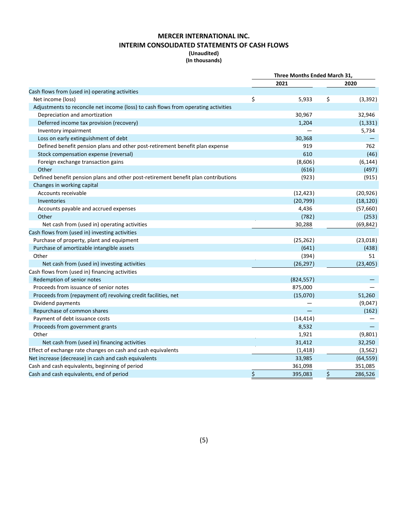## **MERCER INTERNATIONAL INC. INTERIM CONSOLIDATED STATEMENTS OF CASH FLOWS (Unaudited)**

**(In thousands)**

|                                                                                    | Three Months Ended March 31, |            |    |           |
|------------------------------------------------------------------------------------|------------------------------|------------|----|-----------|
|                                                                                    |                              | 2021       |    | 2020      |
| Cash flows from (used in) operating activities                                     |                              |            |    |           |
| Net income (loss)                                                                  | \$                           | 5,933      | \$ | (3, 392)  |
| Adjustments to reconcile net income (loss) to cash flows from operating activities |                              |            |    |           |
| Depreciation and amortization                                                      |                              | 30,967     |    | 32,946    |
| Deferred income tax provision (recovery)                                           |                              | 1,204      |    | (1, 331)  |
| Inventory impairment                                                               |                              |            |    | 5,734     |
| Loss on early extinguishment of debt                                               |                              | 30,368     |    |           |
| Defined benefit pension plans and other post-retirement benefit plan expense       |                              | 919        |    | 762       |
| Stock compensation expense (reversal)                                              |                              | 610        |    | (46)      |
| Foreign exchange transaction gains                                                 |                              | (8,606)    |    | (6, 144)  |
| Other                                                                              |                              | (616)      |    | (497)     |
| Defined benefit pension plans and other post-retirement benefit plan contributions |                              | (923)      |    | (915)     |
| Changes in working capital                                                         |                              |            |    |           |
| Accounts receivable                                                                |                              | (12, 423)  |    | (20, 926) |
| Inventories                                                                        |                              | (20, 799)  |    | (18, 120) |
| Accounts payable and accrued expenses                                              |                              | 4,436      |    | (57,660)  |
| Other                                                                              |                              | (782)      |    | (253)     |
| Net cash from (used in) operating activities                                       |                              | 30,288     |    | (69, 842) |
| Cash flows from (used in) investing activities                                     |                              |            |    |           |
| Purchase of property, plant and equipment                                          |                              | (25, 262)  |    | (23,018)  |
| Purchase of amortizable intangible assets                                          |                              | (641)      |    | (438)     |
| Other                                                                              |                              | (394)      |    | 51        |
| Net cash from (used in) investing activities                                       |                              | (26, 297)  |    | (23, 405) |
| Cash flows from (used in) financing activities                                     |                              |            |    |           |
| Redemption of senior notes                                                         |                              | (824, 557) |    |           |
| Proceeds from issuance of senior notes                                             |                              | 875,000    |    |           |
| Proceeds from (repayment of) revolving credit facilities, net                      |                              | (15,070)   |    | 51,260    |
| Dividend payments                                                                  |                              |            |    | (9,047)   |
| Repurchase of common shares                                                        |                              |            |    | (162)     |
| Payment of debt issuance costs                                                     |                              | (14, 414)  |    |           |
| Proceeds from government grants                                                    |                              | 8,532      |    |           |
| Other                                                                              |                              | 1,921      |    | (9,801)   |
| Net cash from (used in) financing activities                                       |                              | 31,412     |    | 32,250    |
| Effect of exchange rate changes on cash and cash equivalents                       |                              | (1, 418)   |    | (3, 562)  |
| Net increase (decrease) in cash and cash equivalents                               |                              | 33,985     |    | (64, 559) |
| Cash and cash equivalents, beginning of period                                     |                              | 361,098    |    | 351,085   |
| Cash and cash equivalents, end of period                                           | \$                           | 395,083    | \$ | 286,526   |